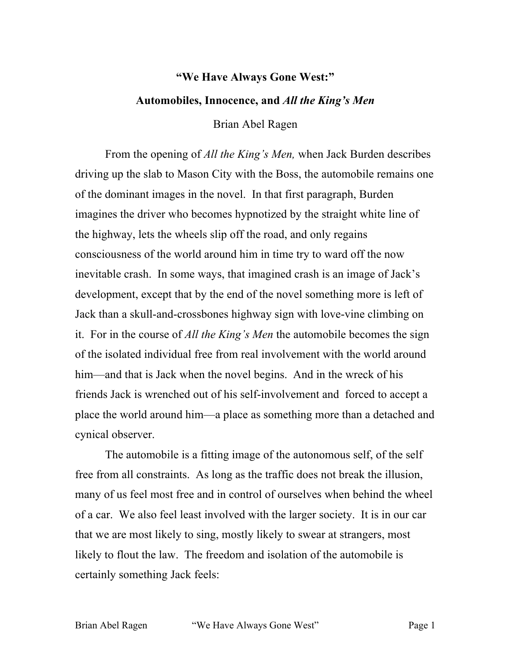## **"We Have Always Gone West:" Automobiles, Innocence, and** *All the King's Men*

Brian Abel Ragen

From the opening of *All the King's Men,* when Jack Burden describes driving up the slab to Mason City with the Boss, the automobile remains one of the dominant images in the novel. In that first paragraph, Burden imagines the driver who becomes hypnotized by the straight white line of the highway, lets the wheels slip off the road, and only regains consciousness of the world around him in time try to ward off the now inevitable crash. In some ways, that imagined crash is an image of Jack's development, except that by the end of the novel something more is left of Jack than a skull-and-crossbones highway sign with love-vine climbing on it. For in the course of *All the King's Men* the automobile becomes the sign of the isolated individual free from real involvement with the world around him—and that is Jack when the novel begins. And in the wreck of his friends Jack is wrenched out of his self-involvement and forced to accept a place the world around him—a place as something more than a detached and cynical observer.

The automobile is a fitting image of the autonomous self, of the self free from all constraints. As long as the traffic does not break the illusion, many of us feel most free and in control of ourselves when behind the wheel of a car. We also feel least involved with the larger society. It is in our car that we are most likely to sing, mostly likely to swear at strangers, most likely to flout the law. The freedom and isolation of the automobile is certainly something Jack feels: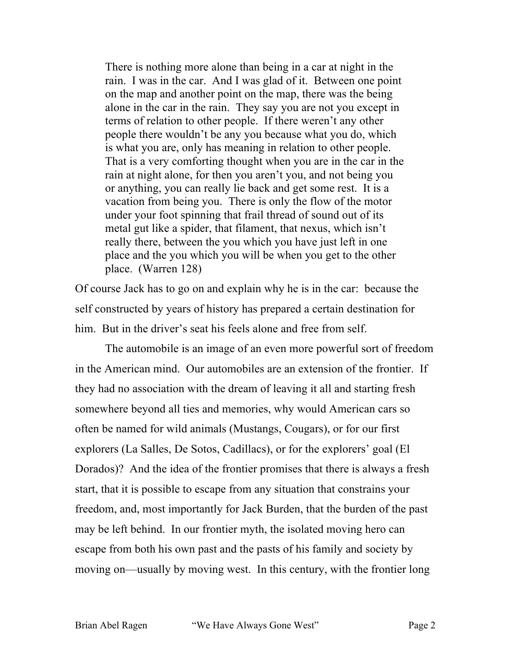There is nothing more alone than being in a car at night in the rain. I was in the car. And I was glad of it. Between one point on the map and another point on the map, there was the being alone in the car in the rain. They say you are not you except in terms of relation to other people. If there weren't any other people there wouldn't be any you because what you do, which is what you are, only has meaning in relation to other people. That is a very comforting thought when you are in the car in the rain at night alone, for then you aren't you, and not being you or anything, you can really lie back and get some rest. It is a vacation from being you. There is only the flow of the motor under your foot spinning that frail thread of sound out of its metal gut like a spider, that filament, that nexus, which isn't really there, between the you which you have just left in one place and the you which you will be when you get to the other place. (Warren 128)

Of course Jack has to go on and explain why he is in the car: because the self constructed by years of history has prepared a certain destination for him. But in the driver's seat his feels alone and free from self.

The automobile is an image of an even more powerful sort of freedom in the American mind. Our automobiles are an extension of the frontier. If they had no association with the dream of leaving it all and starting fresh somewhere beyond all ties and memories, why would American cars so often be named for wild animals (Mustangs, Cougars), or for our first explorers (La Salles, De Sotos, Cadillacs), or for the explorers' goal (El Dorados)? And the idea of the frontier promises that there is always a fresh start, that it is possible to escape from any situation that constrains your freedom, and, most importantly for Jack Burden, that the burden of the past may be left behind. In our frontier myth, the isolated moving hero can escape from both his own past and the pasts of his family and society by moving on—usually by moving west. In this century, with the frontier long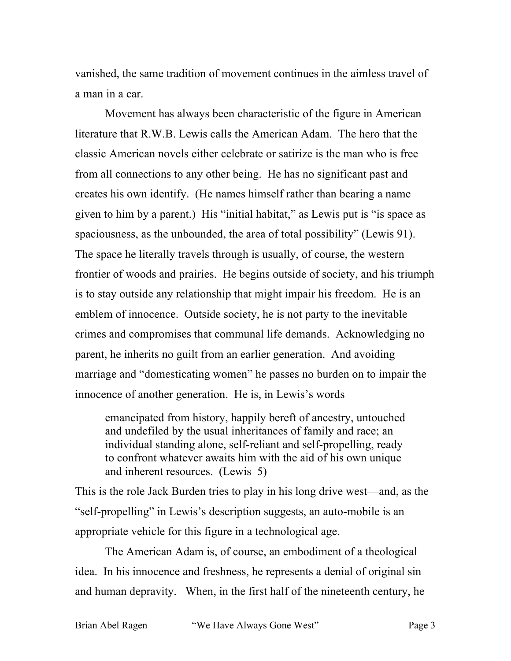vanished, the same tradition of movement continues in the aimless travel of a man in a car.

Movement has always been characteristic of the figure in American literature that R.W.B. Lewis calls the American Adam. The hero that the classic American novels either celebrate or satirize is the man who is free from all connections to any other being. He has no significant past and creates his own identify. (He names himself rather than bearing a name given to him by a parent.) His "initial habitat," as Lewis put is "is space as spaciousness, as the unbounded, the area of total possibility" (Lewis 91). The space he literally travels through is usually, of course, the western frontier of woods and prairies. He begins outside of society, and his triumph is to stay outside any relationship that might impair his freedom. He is an emblem of innocence. Outside society, he is not party to the inevitable crimes and compromises that communal life demands. Acknowledging no parent, he inherits no guilt from an earlier generation. And avoiding marriage and "domesticating women" he passes no burden on to impair the innocence of another generation. He is, in Lewis's words

emancipated from history, happily bereft of ancestry, untouched and undefiled by the usual inheritances of family and race; an individual standing alone, self-reliant and self-propelling, ready to confront whatever awaits him with the aid of his own unique and inherent resources. (Lewis 5)

This is the role Jack Burden tries to play in his long drive west—and, as the "self-propelling" in Lewis's description suggests, an auto-mobile is an appropriate vehicle for this figure in a technological age.

The American Adam is, of course, an embodiment of a theological idea. In his innocence and freshness, he represents a denial of original sin and human depravity. When, in the first half of the nineteenth century, he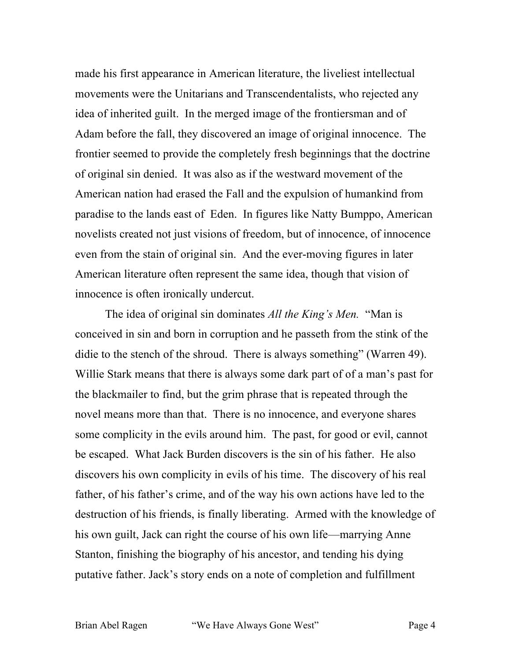made his first appearance in American literature, the liveliest intellectual movements were the Unitarians and Transcendentalists, who rejected any idea of inherited guilt. In the merged image of the frontiersman and of Adam before the fall, they discovered an image of original innocence. The frontier seemed to provide the completely fresh beginnings that the doctrine of original sin denied. It was also as if the westward movement of the American nation had erased the Fall and the expulsion of humankind from paradise to the lands east of Eden. In figures like Natty Bumppo, American novelists created not just visions of freedom, but of innocence, of innocence even from the stain of original sin. And the ever-moving figures in later American literature often represent the same idea, though that vision of innocence is often ironically undercut.

The idea of original sin dominates *All the King's Men.* "Man is conceived in sin and born in corruption and he passeth from the stink of the didie to the stench of the shroud. There is always something" (Warren 49). Willie Stark means that there is always some dark part of of a man's past for the blackmailer to find, but the grim phrase that is repeated through the novel means more than that. There is no innocence, and everyone shares some complicity in the evils around him. The past, for good or evil, cannot be escaped. What Jack Burden discovers is the sin of his father. He also discovers his own complicity in evils of his time. The discovery of his real father, of his father's crime, and of the way his own actions have led to the destruction of his friends, is finally liberating. Armed with the knowledge of his own guilt, Jack can right the course of his own life—marrying Anne Stanton, finishing the biography of his ancestor, and tending his dying putative father. Jack's story ends on a note of completion and fulfillment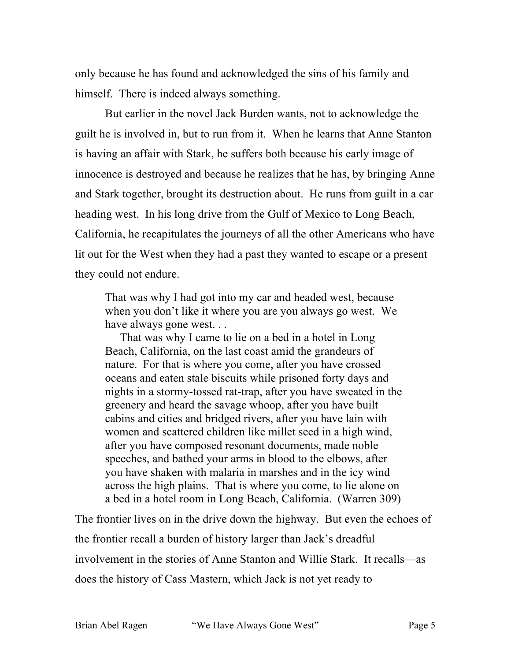only because he has found and acknowledged the sins of his family and himself. There is indeed always something.

But earlier in the novel Jack Burden wants, not to acknowledge the guilt he is involved in, but to run from it. When he learns that Anne Stanton is having an affair with Stark, he suffers both because his early image of innocence is destroyed and because he realizes that he has, by bringing Anne and Stark together, brought its destruction about. He runs from guilt in a car heading west. In his long drive from the Gulf of Mexico to Long Beach, California, he recapitulates the journeys of all the other Americans who have lit out for the West when they had a past they wanted to escape or a present they could not endure.

That was why I had got into my car and headed west, because when you don't like it where you are you always go west. We have always gone west...

That was why I came to lie on a bed in a hotel in Long Beach, California, on the last coast amid the grandeurs of nature. For that is where you come, after you have crossed oceans and eaten stale biscuits while prisoned forty days and nights in a stormy-tossed rat-trap, after you have sweated in the greenery and heard the savage whoop, after you have built cabins and cities and bridged rivers, after you have lain with women and scattered children like millet seed in a high wind, after you have composed resonant documents, made noble speeches, and bathed your arms in blood to the elbows, after you have shaken with malaria in marshes and in the icy wind across the high plains. That is where you come, to lie alone on a bed in a hotel room in Long Beach, California. (Warren 309)

The frontier lives on in the drive down the highway. But even the echoes of the frontier recall a burden of history larger than Jack's dreadful involvement in the stories of Anne Stanton and Willie Stark. It recalls—as does the history of Cass Mastern, which Jack is not yet ready to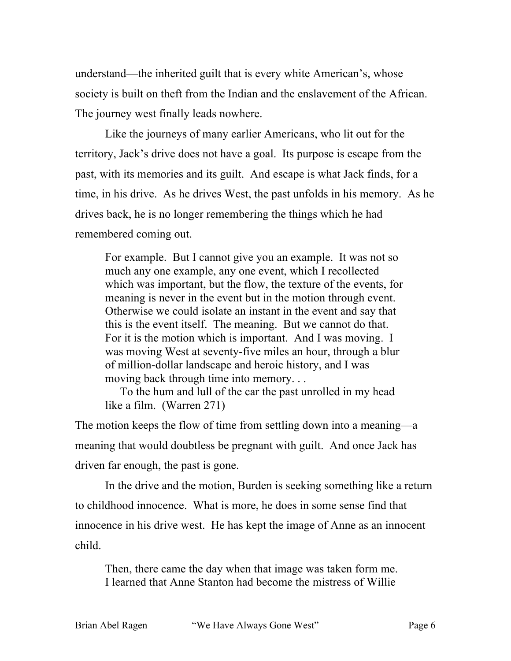understand—the inherited guilt that is every white American's, whose society is built on theft from the Indian and the enslavement of the African. The journey west finally leads nowhere.

Like the journeys of many earlier Americans, who lit out for the territory, Jack's drive does not have a goal. Its purpose is escape from the past, with its memories and its guilt. And escape is what Jack finds, for a time, in his drive. As he drives West, the past unfolds in his memory. As he drives back, he is no longer remembering the things which he had remembered coming out.

For example. But I cannot give you an example. It was not so much any one example, any one event, which I recollected which was important, but the flow, the texture of the events, for meaning is never in the event but in the motion through event. Otherwise we could isolate an instant in the event and say that this is the event itself. The meaning. But we cannot do that. For it is the motion which is important. And I was moving. I was moving West at seventy-five miles an hour, through a blur of million-dollar landscape and heroic history, and I was moving back through time into memory. . .

To the hum and lull of the car the past unrolled in my head like a film. (Warren 271)

The motion keeps the flow of time from settling down into a meaning—a meaning that would doubtless be pregnant with guilt. And once Jack has driven far enough, the past is gone.

In the drive and the motion, Burden is seeking something like a return to childhood innocence. What is more, he does in some sense find that innocence in his drive west. He has kept the image of Anne as an innocent child.

Then, there came the day when that image was taken form me. I learned that Anne Stanton had become the mistress of Willie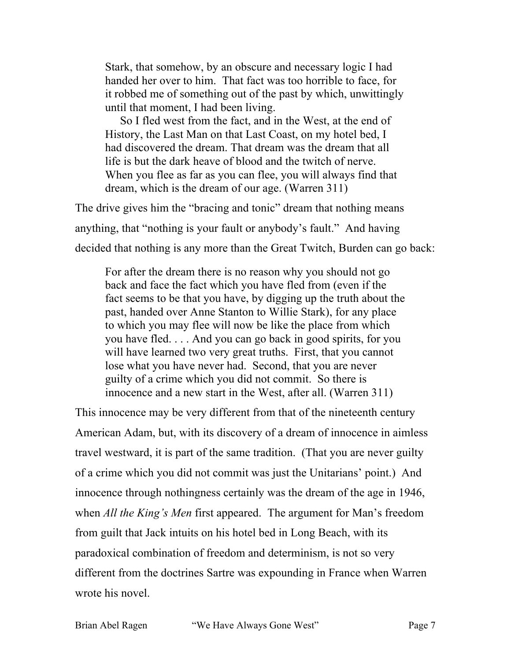Stark, that somehow, by an obscure and necessary logic I had handed her over to him. That fact was too horrible to face, for it robbed me of something out of the past by which, unwittingly until that moment, I had been living.

So I fled west from the fact, and in the West, at the end of History, the Last Man on that Last Coast, on my hotel bed, I had discovered the dream. That dream was the dream that all life is but the dark heave of blood and the twitch of nerve. When you flee as far as you can flee, you will always find that dream, which is the dream of our age. (Warren 311)

The drive gives him the "bracing and tonic" dream that nothing means anything, that "nothing is your fault or anybody's fault." And having decided that nothing is any more than the Great Twitch, Burden can go back:

For after the dream there is no reason why you should not go back and face the fact which you have fled from (even if the fact seems to be that you have, by digging up the truth about the past, handed over Anne Stanton to Willie Stark), for any place to which you may flee will now be like the place from which you have fled. . . . And you can go back in good spirits, for you will have learned two very great truths. First, that you cannot lose what you have never had. Second, that you are never guilty of a crime which you did not commit. So there is innocence and a new start in the West, after all. (Warren 311)

This innocence may be very different from that of the nineteenth century American Adam, but, with its discovery of a dream of innocence in aimless travel westward, it is part of the same tradition. (That you are never guilty of a crime which you did not commit was just the Unitarians' point.) And innocence through nothingness certainly was the dream of the age in 1946, when *All the King's Men* first appeared. The argument for Man's freedom from guilt that Jack intuits on his hotel bed in Long Beach, with its paradoxical combination of freedom and determinism, is not so very different from the doctrines Sartre was expounding in France when Warren wrote his novel.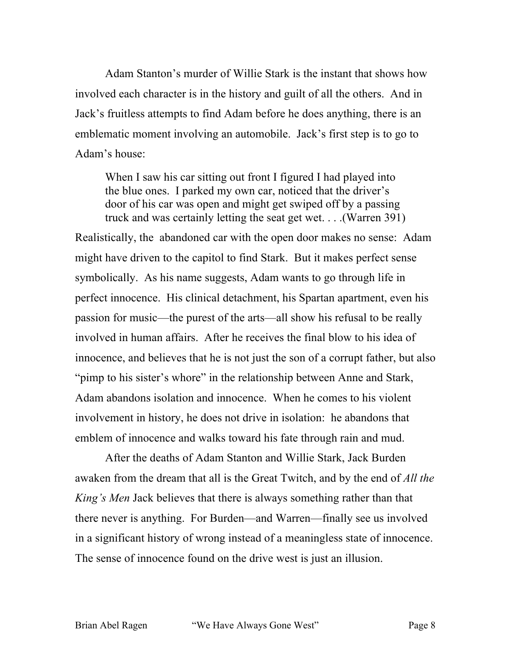Adam Stanton's murder of Willie Stark is the instant that shows how involved each character is in the history and guilt of all the others. And in Jack's fruitless attempts to find Adam before he does anything, there is an emblematic moment involving an automobile. Jack's first step is to go to Adam's house:

When I saw his car sitting out front I figured I had played into the blue ones. I parked my own car, noticed that the driver's door of his car was open and might get swiped off by a passing truck and was certainly letting the seat get wet. . . .(Warren 391)

Realistically, the abandoned car with the open door makes no sense: Adam might have driven to the capitol to find Stark. But it makes perfect sense symbolically. As his name suggests, Adam wants to go through life in perfect innocence. His clinical detachment, his Spartan apartment, even his passion for music—the purest of the arts—all show his refusal to be really involved in human affairs. After he receives the final blow to his idea of innocence, and believes that he is not just the son of a corrupt father, but also "pimp to his sister's whore" in the relationship between Anne and Stark, Adam abandons isolation and innocence. When he comes to his violent involvement in history, he does not drive in isolation: he abandons that emblem of innocence and walks toward his fate through rain and mud.

After the deaths of Adam Stanton and Willie Stark, Jack Burden awaken from the dream that all is the Great Twitch, and by the end of *All the King's Men* Jack believes that there is always something rather than that there never is anything. For Burden—and Warren—finally see us involved in a significant history of wrong instead of a meaningless state of innocence. The sense of innocence found on the drive west is just an illusion.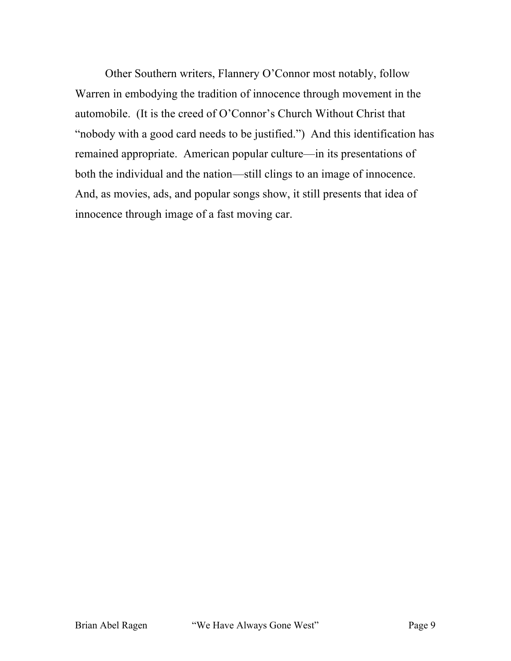Other Southern writers, Flannery O'Connor most notably, follow Warren in embodying the tradition of innocence through movement in the automobile. (It is the creed of O'Connor's Church Without Christ that "nobody with a good card needs to be justified.") And this identification has remained appropriate. American popular culture—in its presentations of both the individual and the nation—still clings to an image of innocence. And, as movies, ads, and popular songs show, it still presents that idea of innocence through image of a fast moving car.